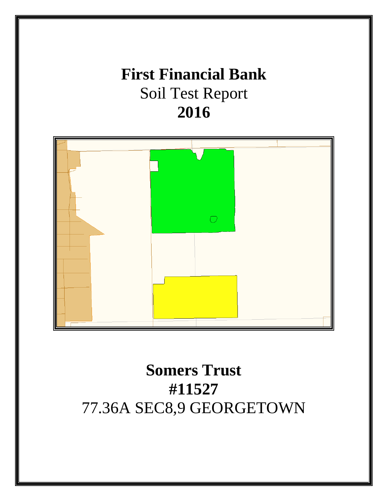# **First Financial Bank** Soil Test Report **2016**



# **Somers Trust #11527** 77.36A SEC8,9 GEORGETOWN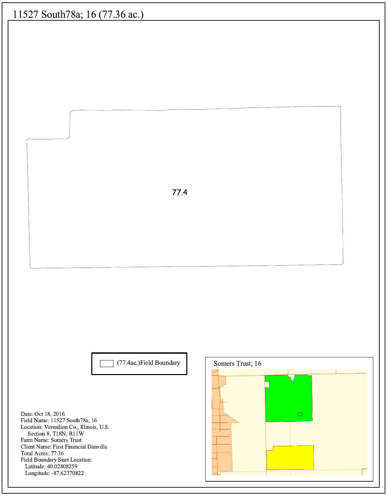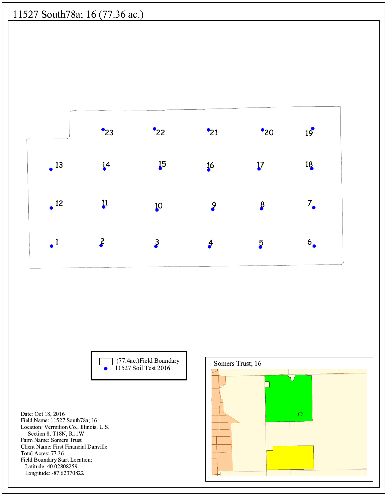



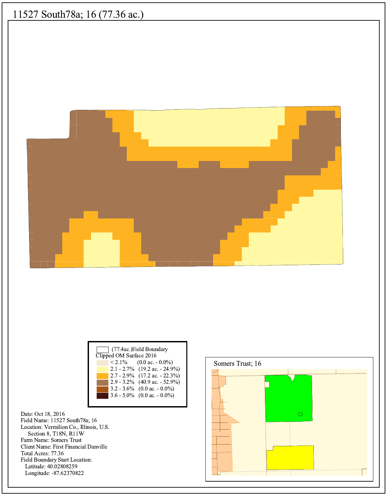

| (77.4ac.) Field Boundary<br>Clipped OM Surface 2016 |  |                                   |
|-----------------------------------------------------|--|-----------------------------------|
|                                                     |  | $< 2.1\%$ (0.0 ac. - 0.0%)        |
|                                                     |  | $2.1 - 2.7\%$ (19.2 ac. - 24.9%)  |
|                                                     |  | $2.7 - 2.9\%$ (17.2 ac. - 22.3%)  |
|                                                     |  | $2.9 - 3.2\%$ (40.9 ac. - 52.9%)  |
|                                                     |  | $3.2 - 3.6\%$ (0.0 ac. $-0.0\%$ ) |
|                                                     |  | 3.6 - 5.0% (0.0 ac. - 0.0%)       |
|                                                     |  |                                   |

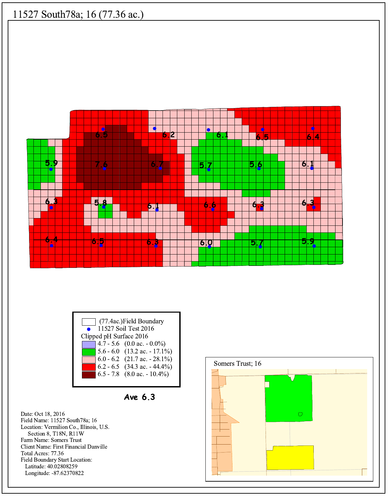





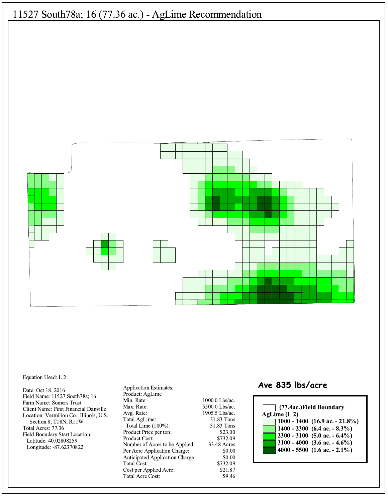

#### Equation Used: L 2

Date: Oct 18, 2016 Field Name: 11527 South78a; 16 Farm Name: Somers Trust Client Name: First Financial Danville Location: Vermilion Co., Illinois, U.S. Section 8, T18N, R11W Total Acres: 77.36 Field Boundary Start Location: Latitude: 40.02808259 Longitude: -87.62370822

**Application Estimates:** Product: AgLime Min. Rate: Max. Rate: Avg. Rate: Total AgLime: Total Lime (100%): Product Price per ton: Product Cost: Number of Acres to be Applied: Per Acre Application Charge: Anticipated Application Charge: Total Cost: Cost per Applied Acre: Total Acre Cost:

1000.0 Lbs/ac. 5500.0 Lbs/ac. 1905.5 Lbs/ac. 31.83 Tons 31.83 Tons \$23.00 \$732.09 33.48 Acres \$0.00 \$0.00 \$732.09 \$21.87 \$9.46

#### Ave 835 lbs/acre

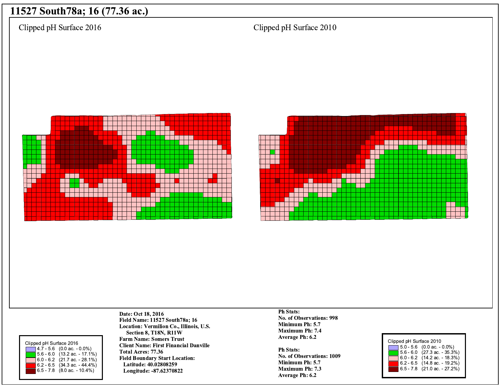Clipped pH Surface 2016

Clipped pH Surface 2010







Date: Oct 18, 2016 Field Name: 11527 South78a; 16 Location: Vermilion Co., Illinois, U.S. Section 8, T18N, R11W **Farm Name: Somers Trust Client Name: First Financial Danville** Total Acres: 77.36 **Field Boundary Start Location:** Latitude: 40.02808259 Longitude: -87.62370822

**Ph Stats:** No. of Observations: 998 Minimum Ph: 5.7 **Maximum Ph: 7.4** Average Ph: 6.2

**Ph Stats:** No. of Observations: 1009 Minimum Ph: 5.7 **Maximum Ph: 7.3** Average Ph: 6.2

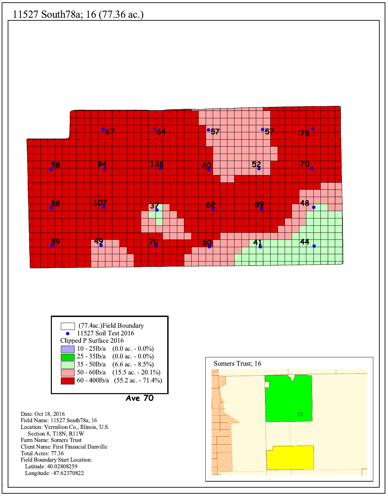



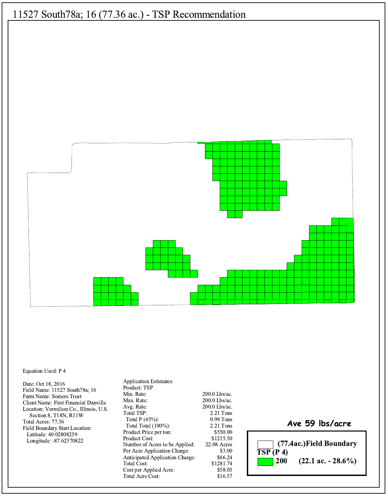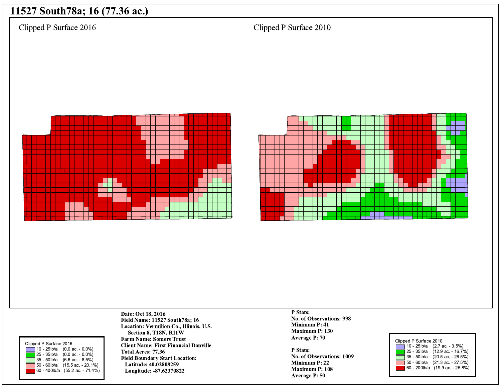Clipped P Surface 2016

Clipped P Surface 2010







Date: Oct 18, 2016 Field Name: 11527 South78a; 16 Location: Vermilion Co., Illinois, U.S. Section 8, T18N, R11W **Farm Name: Somers Trust Client Name: First Financial Danville** Total Acres: 77.36 **Field Boundary Start Location:** Latitude: 40.02808259 Longitude: -87.62370822

P Stats: No. of Observations: 998 Minimum P: 41 Maximum P: 130 Average P: 70

P Stats: No. of Observations: 1009 Minimum P: 22 Maximum P: 108 **Average P: 50** 

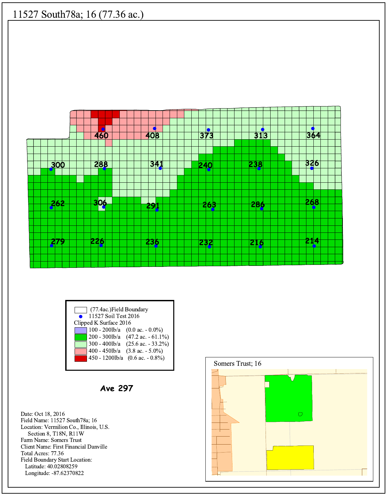

| (77.4ac.) Field Boundary                          |  |  |
|---------------------------------------------------|--|--|
| 11527 Soil Test 2016                              |  |  |
| Clipped K Surface 2016                            |  |  |
| 100 - 200lb/a $(0.0 \text{ ac.} - 0.0\%)$         |  |  |
| $200 - 300$ lb/a $(47.2$ ac. $-61.1\%)$           |  |  |
| $300 - 400$ lb/a<br>$(25.6 \text{ ac.} - 33.2\%)$ |  |  |
| 400 - 450lb/a<br>$(3.8 \text{ ac.} - 5.0\%)$      |  |  |
| $450 - 1200$ lb/a $(0.6$ ac. $-0.8\%)$            |  |  |

**Ave 297** 

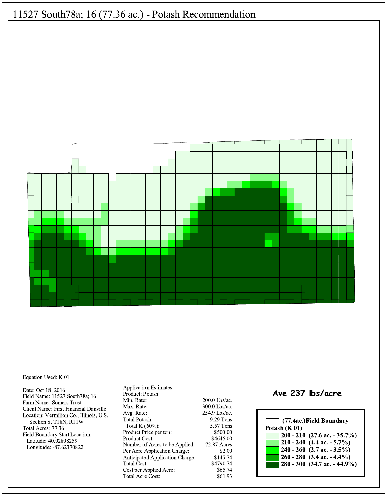

#### Equation Used: K 01

Date: Oct 18, 2016 Field Name: 11527 South78a; 16 Farm Name: Somers Trust Client Name: First Financial Danville Location: Vermilion Co., Illinois, U.S. Section 8, T18N, R11W Total Acres: 77.36 Field Boundary Start Location: Latitude: 40.02808259 Longitude: -87.62370822

**Application Estimates:** Product: Potash Min. Rate: Max. Rate: Avg. Rate: **Total Potash:** Total K $(60\%)$ : Product Price per ton: Product Cost: Number of Acres to be Applied: Per Acre Application Charge: Anticipated Application Charge: **Total Cost:** Cost per Applied Acre: Total Acre Cost:

200.0 Lbs/ac. 300.0 Lbs/ac. 254.9 Lbs/ac. 9.29 Tons 5.57 Tons \$500.00 \$4645.00 72.87 Acres \$2.00 \$145.74 \$4790.74 \$65.74 \$61.93

#### Ave 237 lbs/acre